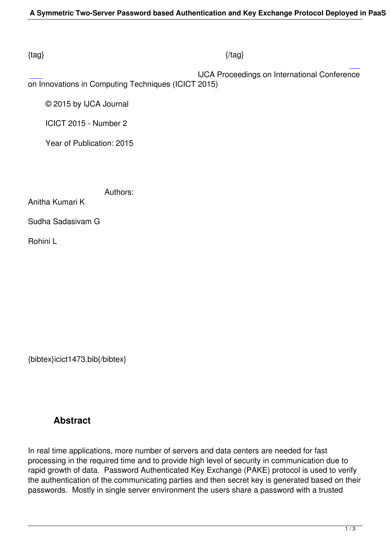### $\{tag\}$

 IJCA Proceedings on International Conference on Innovations in Computing Techniques (ICICT 2015)

© 2015 by IJCA Journal

ICICT 2015 - Number 2

Year of Publication: 2015

Authors:

Anitha Kumari K

Sudha Sadasivam G

Rohini L

{bibtex}icict1473.bib{/bibtex}

# **Abstract**

In real time applications, more number of servers and data centers are needed for fast processing in the required time and to provide high level of security in communication due to rapid growth of data. Password Authenticated Key Exchange (PAKE) protocol is used to verify the authentication of the communicating parties and then secret key is generated based on their passwords. Mostly in single server environment the users share a password with a trusted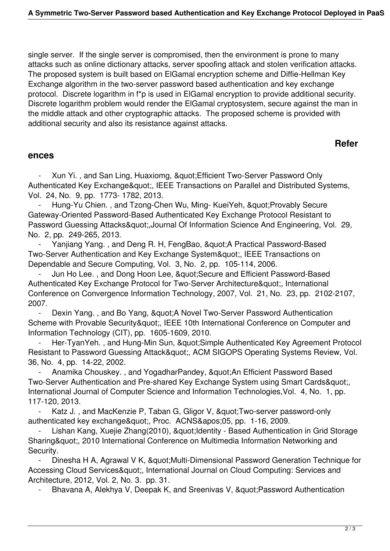single server. If the single server is compromised, then the environment is prone to many attacks such as online dictionary attacks, server spoofing attack and stolen verification attacks. The proposed system is built based on ElGamal encryption scheme and Diffie-Hellman Key Exchange algorithm in the two-server password based authentication and key exchange protocol. Discrete logarithm in f\*p is used in ElGamal encryption to provide additional security. Discrete logarithm problem would render the ElGamal cryptosystem, secure against the man in the middle attack and other cryptographic attacks. The proposed scheme is provided with additional security and also its resistance against attacks.

### **Refer**

### **ences**

Xun Yi., and San Ling, Huaxiomg, " Efficient Two-Server Password Only Authenticated Key Exchange", IEEE Transactions on Parallel and Distributed Systems, Vol. 24, No. 9, pp. 1773- 1782, 2013.

Hung-Yu Chien., and Tzong-Chen Wu, Ming- KueiYeh, " Provably Secure Gateway-Oriented Password-Based Authenticated Key Exchange Protocol Resistant to Password Guessing Attacks",Journal Of Information Science And Engineering, Vol. 29, No. 2, pp. 249-265, 2013.

Yanjiang Yang., and Deng R. H, FengBao, " A Practical Password-Based Two-Server Authentication and Key Exchange System", IEEE Transactions on Dependable and Secure Computing, Vol. 3, No. 2, pp. 105-114, 2006.

Jun Ho Lee., and Dong Hoon Lee, " Secure and Efficient Password-Based Authenticated Key Exchange Protocol for Two-Server Architecture", International Conference on Convergence Information Technology, 2007, Vol. 21, No. 23, pp. 2102-2107, 2007.

Dexin Yang., and Bo Yang, & quot; A Novel Two-Server Password Authentication Scheme with Provable Security", IEEE 10th International Conference on Computer and Information Technology (CIT), pp. 1605-1609, 2010.

Her-TyanYeh., and Hung-Min Sun, & quot; Simple Authenticated Key Agreement Protocol Resistant to Password Guessing Attack", ACM SIGOPS Operating Systems Review, Vol. 36, No. 4, pp. 14-22, 2002.

Anamika Chouskey., and YogadharPandey, "An Efficient Password Based Two-Server Authentication and Pre-shared Key Exchange System using Smart Cards", International Journal of Computer Science and Information Technologies, Vol. 4, No. 1, pp. 117-120, 2013.

Katz J., and MacKenzie P, Taban G, Gligor V, " Two-server password-only authenticated key exchange", Proc. ACNS'05, pp. 1-16, 2009.

Lishan Kang, Xuejie Zhang(2010), " Identity - Based Authentication in Grid Storage Sharing", 2010 International Conference on Multimedia Information Networking and Security.

Dinesha H A, Agrawal V K, & quot; Multi-Dimensional Password Generation Technique for Accessing Cloud Services", International Journal on Cloud Computing: Services and Architecture, 2012, Vol. 2, No. 3. pp. 31.

Bhavana A, Alekhya V, Deepak K, and Sreenivas V, " Password Authentication